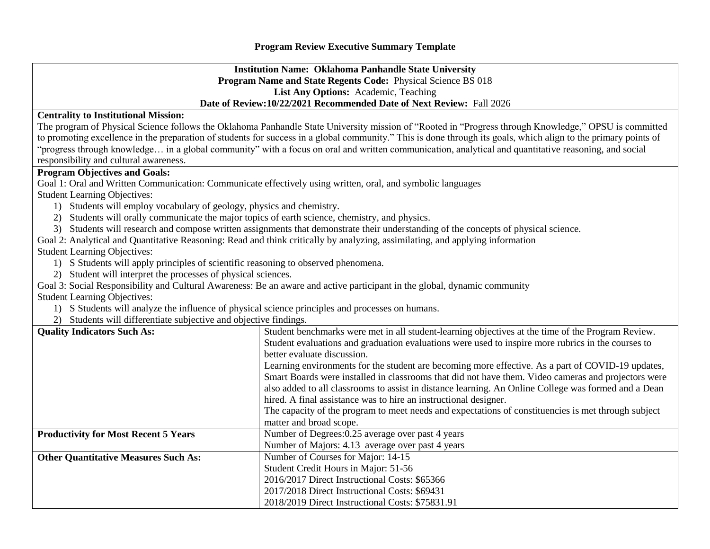## **Program Review Executive Summary Template**

## **Institution Name: Oklahoma Panhandle State University Program Name and State Regents Code:** Physical Science BS 018 **List Any Options:** Academic, Teaching **Date of Review:10/22/2021 Recommended Date of Next Review:** Fall 2026

## **Centrality to Institutional Mission:**

The program of Physical Science follows the Oklahoma Panhandle State University mission of "Rooted in "Progress through Knowledge," OPSU is committed to promoting excellence in the preparation of students for success in a global community." This is done through its goals, which align to the primary points of "progress through knowledge… in a global community" with a focus on oral and written communication, analytical and quantitative reasoning, and social responsibility and cultural awareness.

## **Program Objectives and Goals:**

Goal 1: Oral and Written Communication: Communicate effectively using written, oral, and symbolic languages

Student Learning Objectives:

- 1) Students will employ vocabulary of geology, physics and chemistry.
- 2) Students will orally communicate the major topics of earth science, chemistry, and physics.
- 3) Students will research and compose written assignments that demonstrate their understanding of the concepts of physical science.

Goal 2: Analytical and Quantitative Reasoning: Read and think critically by analyzing, assimilating, and applying information

Student Learning Objectives:

- 1) S Students will apply principles of scientific reasoning to observed phenomena.
- 2) Student will interpret the processes of physical sciences.

Goal 3: Social Responsibility and Cultural Awareness: Be an aware and active participant in the global, dynamic community

Student Learning Objectives:

- 1) S Students will analyze the influence of physical science principles and processes on humans.
- 2) Students will differentiate subjective and objective findings.

| <b>Quality Indicators Such As:</b>          | Student benchmarks were met in all student-learning objectives at the time of the Program Review.    |  |  |  |  |  |  |  |
|---------------------------------------------|------------------------------------------------------------------------------------------------------|--|--|--|--|--|--|--|
|                                             | Student evaluations and graduation evaluations were used to inspire more rubrics in the courses to   |  |  |  |  |  |  |  |
|                                             | better evaluate discussion.                                                                          |  |  |  |  |  |  |  |
|                                             | Learning environments for the student are becoming more effective. As a part of COVID-19 updates,    |  |  |  |  |  |  |  |
|                                             | Smart Boards were installed in classrooms that did not have them. Video cameras and projectors were  |  |  |  |  |  |  |  |
|                                             | also added to all classrooms to assist in distance learning. An Online College was formed and a Dean |  |  |  |  |  |  |  |
|                                             | hired. A final assistance was to hire an instructional designer.                                     |  |  |  |  |  |  |  |
|                                             | The capacity of the program to meet needs and expectations of constituencies is met through subject  |  |  |  |  |  |  |  |
|                                             | matter and broad scope.                                                                              |  |  |  |  |  |  |  |
| <b>Productivity for Most Recent 5 Years</b> | Number of Degrees: 0.25 average over past 4 years                                                    |  |  |  |  |  |  |  |
|                                             | Number of Majors: 4.13 average over past 4 years                                                     |  |  |  |  |  |  |  |
| <b>Other Quantitative Measures Such As:</b> | Number of Courses for Major: 14-15                                                                   |  |  |  |  |  |  |  |
|                                             | Student Credit Hours in Major: 51-56                                                                 |  |  |  |  |  |  |  |
|                                             | 2016/2017 Direct Instructional Costs: \$65366                                                        |  |  |  |  |  |  |  |
|                                             | 2017/2018 Direct Instructional Costs: \$69431                                                        |  |  |  |  |  |  |  |
|                                             | 2018/2019 Direct Instructional Costs: \$75831.91                                                     |  |  |  |  |  |  |  |